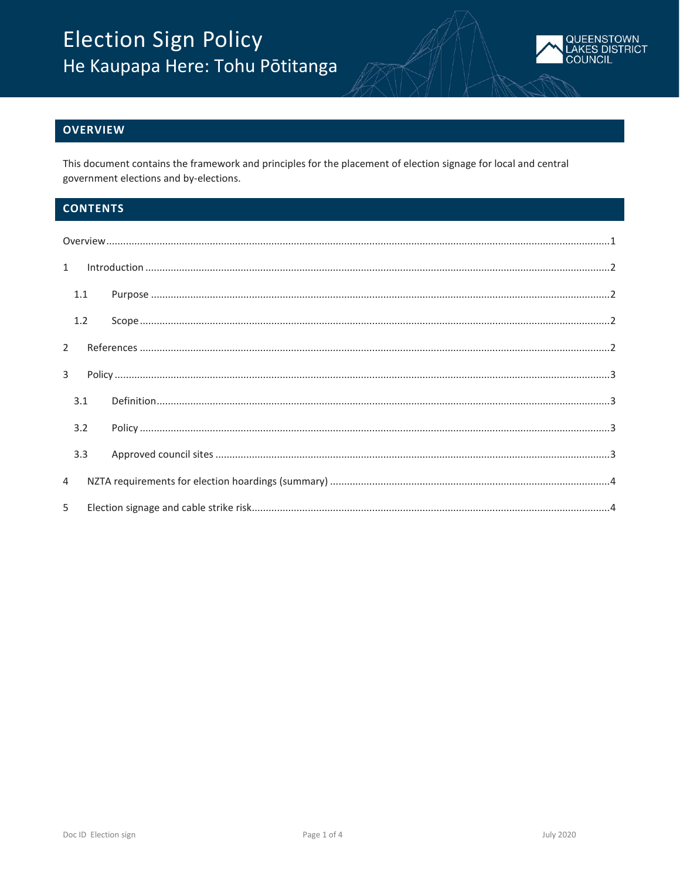

## <span id="page-0-0"></span>**OVERVIEW**

This document contains the framework and principles for the placement of election signage for local and central government elections and by-elections.

# **CONTENTS**

|                | $\label{lem:1} \mbox{Introduction} \,\, \ldots \,\, \ldots \,\, \ldots \,\, \ldots \,\, \ldots \,\, \ldots \,\, \ldots \,\, \ldots \,\, \ldots \,\, \ldots \,\, \ldots \,\, \ldots \,\, \ldots \,\, \ldots \,\, \ldots \,\, \ldots \,\, \ldots \,\, \ldots \,\, \ldots \,\, \ldots \,\, \ldots \,\, \ldots \,\, \ldots \,\, \ldots \,\, \ldots \,\, \ldots \,\, \ldots \,\, \ldots \,\, \ldots \,\, \ldots \,\, \ldots \,\, \ldots \,\, \ldots \,\, \ldots \,\,$<br>$1 \quad$ |  |  |
|----------------|-------------------------------------------------------------------------------------------------------------------------------------------------------------------------------------------------------------------------------------------------------------------------------------------------------------------------------------------------------------------------------------------------------------------------------------------------------------------------------|--|--|
|                | 1.1                                                                                                                                                                                                                                                                                                                                                                                                                                                                           |  |  |
|                | 1.2                                                                                                                                                                                                                                                                                                                                                                                                                                                                           |  |  |
|                | $2^{\circ}$                                                                                                                                                                                                                                                                                                                                                                                                                                                                   |  |  |
| $3^{\circ}$    |                                                                                                                                                                                                                                                                                                                                                                                                                                                                               |  |  |
|                | 3.1                                                                                                                                                                                                                                                                                                                                                                                                                                                                           |  |  |
|                | 3.2                                                                                                                                                                                                                                                                                                                                                                                                                                                                           |  |  |
|                | 3.3                                                                                                                                                                                                                                                                                                                                                                                                                                                                           |  |  |
| $\overline{4}$ |                                                                                                                                                                                                                                                                                                                                                                                                                                                                               |  |  |
| 5              |                                                                                                                                                                                                                                                                                                                                                                                                                                                                               |  |  |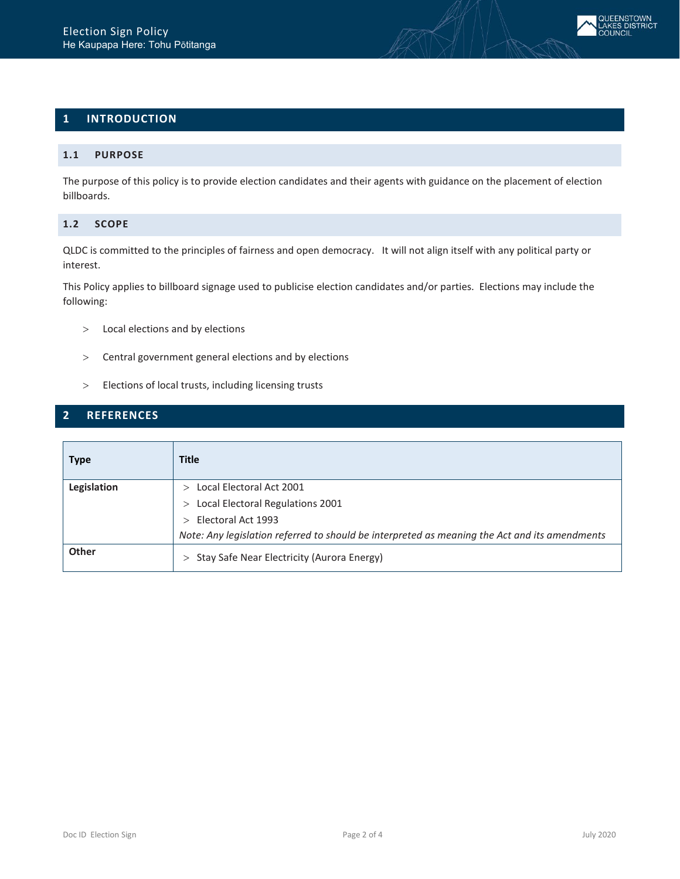# <span id="page-1-0"></span>**1 INTRODUCTION**

### <span id="page-1-1"></span>**1.1 PURPOSE**

The purpose of this policy is to provide election candidates and their agents with guidance on the placement of election billboards.

## <span id="page-1-2"></span>**1.2 SCOPE**

QLDC is committed to the principles of fairness and open democracy. It will not align itself with any political party or interest.

This Policy applies to billboard signage used to publicise election candidates and/or parties. Elections may include the following:

- > Local elections and by elections
- > Central government general elections and by elections
- > Elections of local trusts, including licensing trusts

## <span id="page-1-3"></span>**2 REFERENCES**

| <b>Type</b> | <b>Title</b>                                                                                  |
|-------------|-----------------------------------------------------------------------------------------------|
| Legislation | Local Electoral Act 2001                                                                      |
|             | Local Electoral Regulations 2001                                                              |
|             | $>$ Electoral Act 1993                                                                        |
|             | Note: Any legislation referred to should be interpreted as meaning the Act and its amendments |
| Other       | > Stay Safe Near Electricity (Aurora Energy)                                                  |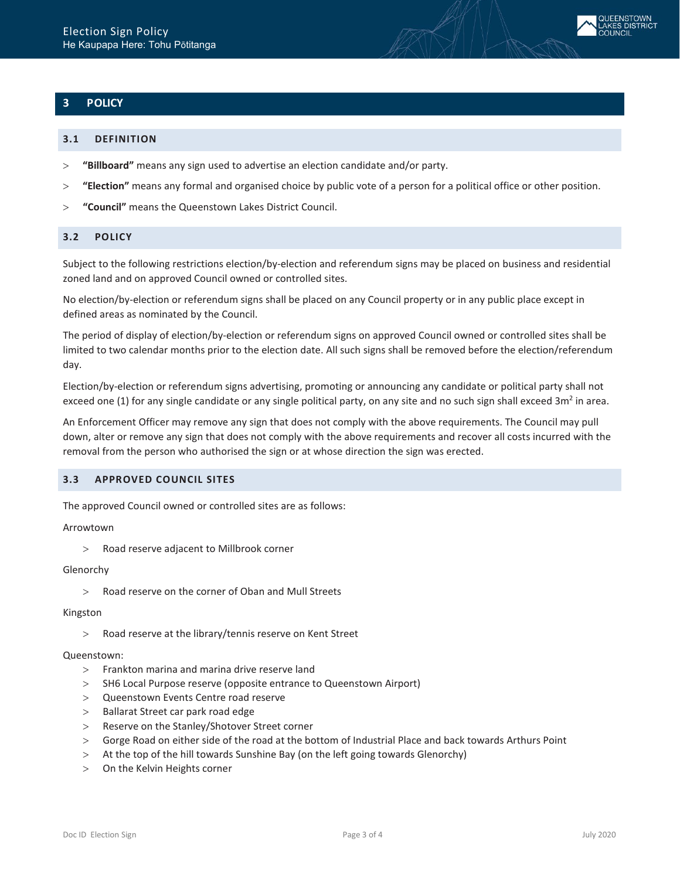# <span id="page-2-0"></span>**3 POLICY**

### <span id="page-2-1"></span>**3.1 DEFINITION**

- > **"Billboard"** means any sign used to advertise an election candidate and/or party.
- > **"Election"** means any formal and organised choice by public vote of a person for a political office or other position.
- > **"Council"** means the Queenstown Lakes District Council.

## <span id="page-2-2"></span>**3.2 POLICY**

Subject to the following restrictions election/by-election and referendum signs may be placed on business and residential zoned land and on approved Council owned or controlled sites.

No election/by-election or referendum signs shall be placed on any Council property or in any public place except in defined areas as nominated by the Council.

The period of display of election/by-election or referendum signs on approved Council owned or controlled sites shall be limited to two calendar months prior to the election date. All such signs shall be removed before the election/referendum day.

Election/by-election or referendum signs advertising, promoting or announcing any candidate or political party shall not exceed one (1) for any single candidate or any single political party, on any site and no such sign shall exceed  $3m<sup>2</sup>$  in area.

An Enforcement Officer may remove any sign that does not comply with the above requirements. The Council may pull down, alter or remove any sign that does not comply with the above requirements and recover all costs incurred with the removal from the person who authorised the sign or at whose direction the sign was erected.

### <span id="page-2-3"></span>**3.3 APPROVED COUNCIL SITES**

The approved Council owned or controlled sites are as follows:

### Arrowtown

> Road reserve adjacent to Millbrook corner

#### Glenorchy

> Road reserve on the corner of Oban and Mull Streets

#### Kingston

> Road reserve at the library/tennis reserve on Kent Street

### Queenstown:

- > Frankton marina and marina drive reserve land
- > SH6 Local Purpose reserve (opposite entrance to Queenstown Airport)
- > Queenstown Events Centre road reserve
- > Ballarat Street car park road edge
- > Reserve on the Stanley/Shotover Street corner
- > Gorge Road on either side of the road at the bottom of Industrial Place and back towards Arthurs Point
- > At the top of the hill towards Sunshine Bay (on the left going towards Glenorchy)
- > On the Kelvin Heights corner